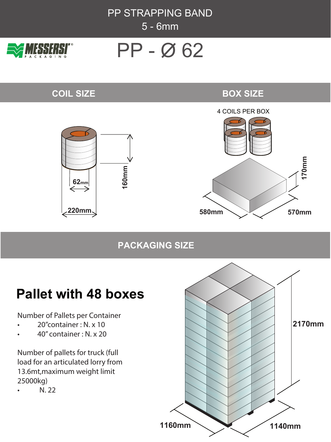PP STRAPPING BAND 5 - 6mm



# PP - Ø 62

## **COIL SIZE**

## **BOX SIZE**



## **PACKAGING SIZE**

# **Pallet with 48 boxes**

Number of Pallets per Container

- 20''container : N. x 10
- 40'' container : N. x 20

Number of pallets for truck (full load for an articulated lorry from 13.6mt,maximum weight limit 25000kg)

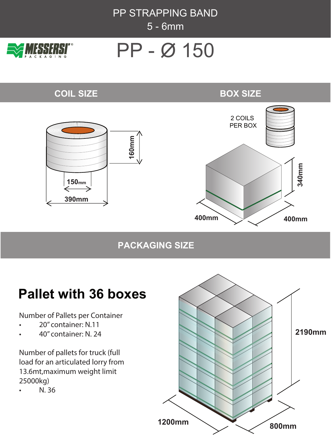



# PP - Ø 150

## **COIL SIZE**

### **BOX SIZE**



### **PACKAGING SIZE**

## **Pallet with 36 boxes**

Number of Pallets per Container

- 20'' container: N.11
- 40'' container: N. 24

Number of pallets for truck (full load for an articulated lorry from 13.6mt,maximum weight limit 25000kg)

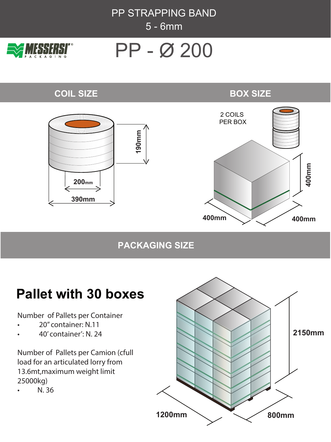PP STRAPPING BAND 5 - 6mm



# PP - O 200

### **COIL SIZE**





## **PACKAGING SIZE**

# **Pallet with 30 boxes**

Number of Pallets per Container

- 20'' container: N.11
- 40' container': N. 24

Number of Pallets per Camion (cfull load for an articulated lorry from 13.6mt,maximum weight limit 25000kg)

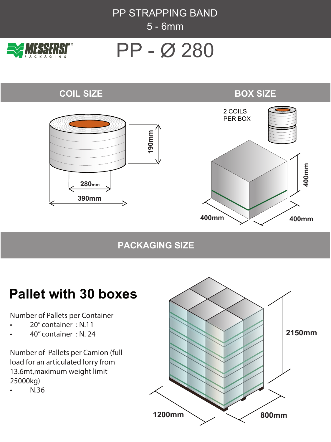



# PP - Ø 280

#### **COIL SIZE**





## **PACKAGING SIZE**

# **Pallet with 30 boxes**

Number of Pallets per Container

- 20'' container : N.11
- 40'' container : N. 24

Number of Pallets per Camion (full load for an articulated lorry from 13.6mt,maximum weight limit 25000kg)